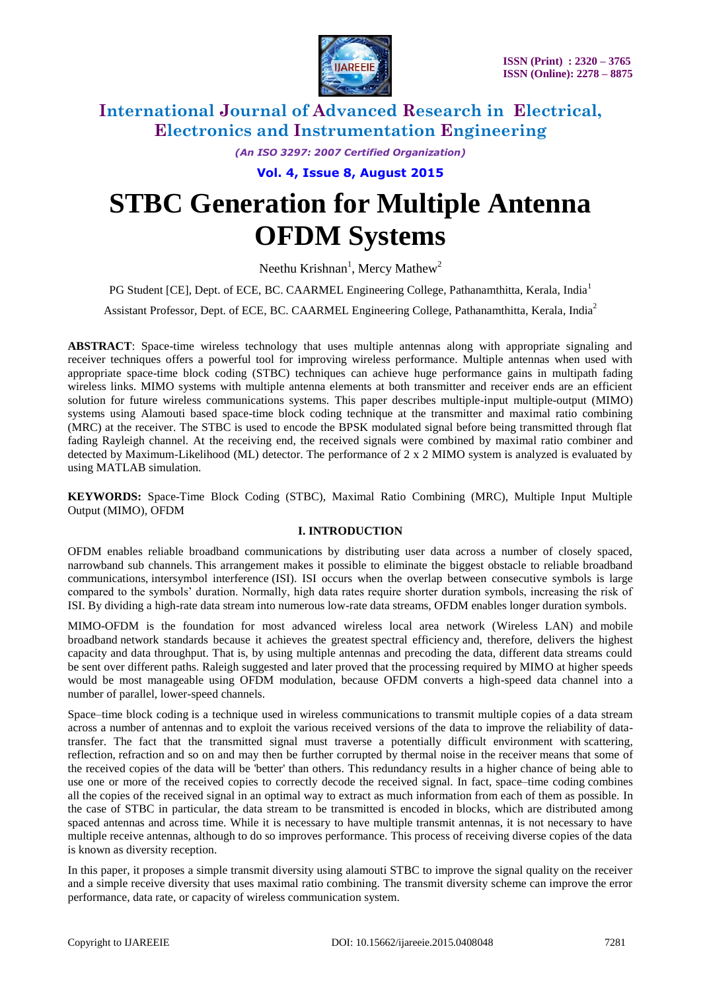

*(An ISO 3297: 2007 Certified Organization)*

**Vol. 4, Issue 8, August 2015**

# **STBC Generation for Multiple Antenna OFDM Systems**

Neethu Krishnan<sup>1</sup>, Mercy Mathew<sup>2</sup>

PG Student [CE], Dept. of ECE, BC. CAARMEL Engineering College, Pathanamthitta, Kerala, India<sup>1</sup>

Assistant Professor, Dept. of ECE, BC. CAARMEL Engineering College, Pathanamthitta, Kerala, India<sup>2</sup>

**ABSTRACT**: Space-time wireless technology that uses multiple antennas along with appropriate signaling and receiver techniques offers a powerful tool for improving wireless performance. Multiple antennas when used with appropriate space-time block coding (STBC) techniques can achieve huge performance gains in multipath fading wireless links. MIMO systems with multiple antenna elements at both transmitter and receiver ends are an efficient solution for future wireless communications systems. This paper describes multiple-input multiple-output (MIMO) systems using Alamouti based space-time block coding technique at the transmitter and maximal ratio combining (MRC) at the receiver. The STBC is used to encode the BPSK modulated signal before being transmitted through flat fading Rayleigh channel. At the receiving end, the received signals were combined by maximal ratio combiner and detected by Maximum-Likelihood (ML) detector. The performance of 2 x 2 MIMO system is analyzed is evaluated by using MATLAB simulation.

**KEYWORDS:** Space-Time Block Coding (STBC), Maximal Ratio Combining (MRC), Multiple Input Multiple Output (MIMO), OFDM

#### **I. INTRODUCTION**

OFDM enables reliable broadband communications by distributing user data across a number of closely spaced, narrowband sub channels. This arrangement makes it possible to eliminate the biggest obstacle to reliable broadband communications, [intersymbol interference](http://en.wikipedia.org/wiki/Intersymbol_interference) (ISI). ISI occurs when the overlap between consecutive symbols is large compared to the symbols' duration. Normally, high data rates require shorter duration symbols, increasing the risk of ISI. By dividing a high-rate data stream into numerous low-rate data streams, OFDM enables longer duration symbols.

MIMO-OFDM is the foundation for most advanced wireless local area network [\(Wireless LAN\)](http://en.wikipedia.org/wiki/Wireless_LAN) and [mobile](http://en.wikipedia.org/wiki/Mobile_broadband)  [broadband](http://en.wikipedia.org/wiki/Mobile_broadband) network standards because it achieves the greatest [spectral efficiency](http://en.wikipedia.org/wiki/Spectral_efficiency) and, therefore, delivers the highest capacity and data throughput. That is, by using multiple antennas and precoding the data, different data streams could be sent over different paths. Raleigh suggested and later proved that the processing required by MIMO at higher speeds would be most manageable using OFDM modulation, because OFDM converts a high-speed data channel into a number of parallel, lower-speed channels.

Space–time block coding is a technique used in [wireless communications](http://en.wikipedia.org/wiki/Wireless) to transmit multiple copies of a data stream across a number of [antennas](http://en.wikipedia.org/wiki/Antenna_(radio)) and to exploit the various received versions of the data to improve the reliability of datatransfer. The fact that the transmitted signal must traverse a potentially difficult environment with [scattering,](http://en.wikipedia.org/wiki/Scattering) [reflection,](http://en.wikipedia.org/wiki/Reflection_(physics)) [refraction](http://en.wikipedia.org/wiki/Refraction) and so on and may then be further corrupted by [thermal noise](http://en.wikipedia.org/wiki/Thermal_noise) in the [receiver](http://en.wikipedia.org/wiki/Receiver_(radio)) means that some of the received copies of the data will be 'better' than others. This redundancy results in a higher chance of being able to use one or more of the received copies to correctly decode the received signal. In fact, [space–time coding](http://en.wikipedia.org/wiki/Space%E2%80%93time_code) combines all the copies of the received signal in an optimal way to extract as much information from each of them as possible. In the case of STBC in particular, the data stream to be transmitted is encoded in [blocks,](http://en.wikipedia.org/wiki/Block_code) which are distributed among spaced antennas and across time. While it is necessary to have multiple transmit antennas, it is not necessary to have multiple receive antennas, although to do so improves performance. This process of receiving diverse copies of the data is known as [diversity reception.](http://en.wikipedia.org/wiki/Diversity_reception)

In this paper, it proposes a simple transmit diversity using alamouti STBC to improve the signal quality on the receiver and a simple receive diversity that uses maximal ratio combining. The transmit diversity scheme can improve the error performance, data rate, or capacity of wireless communication system.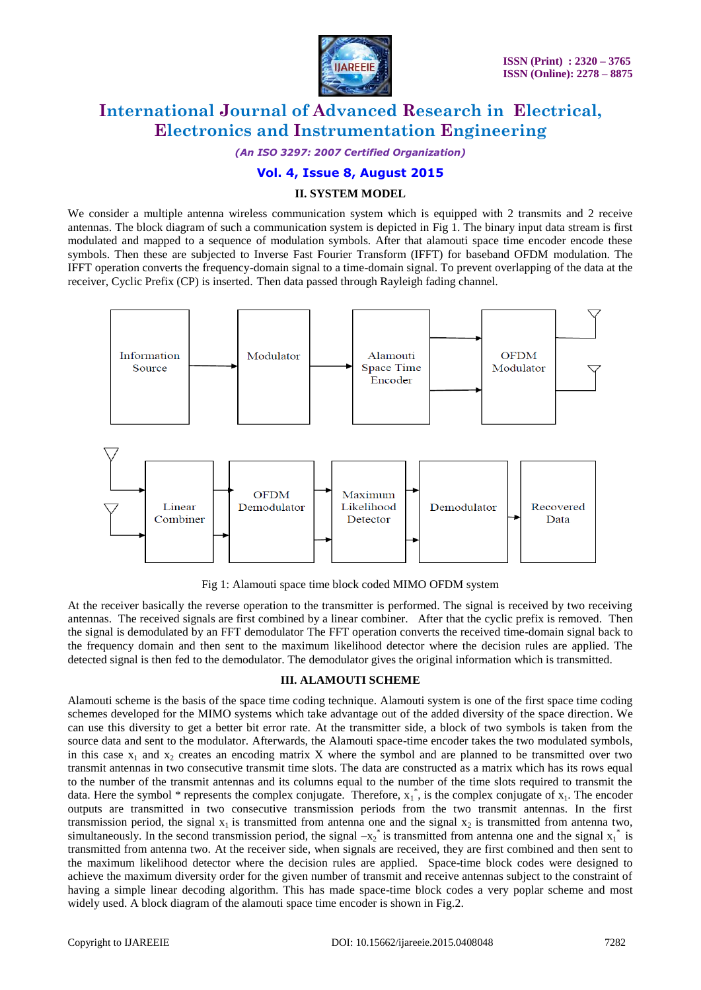

*(An ISO 3297: 2007 Certified Organization)*

#### **Vol. 4, Issue 8, August 2015**

#### **II. SYSTEM MODEL**

We consider a multiple antenna wireless communication system which is equipped with 2 transmits and 2 receive antennas. The block diagram of such a communication system is depicted in Fig 1. The binary input data stream is first modulated and mapped to a sequence of modulation symbols. After that alamouti space time encoder encode these symbols. Then these are subjected to Inverse Fast Fourier Transform (IFFT) for baseband OFDM modulation. The IFFT operation converts the frequency-domain signal to a time-domain signal. To prevent overlapping of the data at the receiver, Cyclic Prefix (CP) is inserted. Then data passed through Rayleigh fading channel.



Fig 1: Alamouti space time block coded MIMO OFDM system

At the receiver basically the reverse operation to the transmitter is performed. The signal is received by two receiving antennas. The received signals are first combined by a linear combiner. After that the cyclic prefix is removed. Then the signal is demodulated by an FFT demodulator The FFT operation converts the received time-domain signal back to the frequency domain and then sent to the maximum likelihood detector where the decision rules are applied. The detected signal is then fed to the demodulator. The demodulator gives the original information which is transmitted.

#### **III. ALAMOUTI SCHEME**

Alamouti scheme is the basis of the space time coding technique. Alamouti system is one of the first space time coding schemes developed for the MIMO systems which take advantage out of the added diversity of the space direction. We can use this diversity to get a better bit error rate. At the transmitter side, a block of two symbols is taken from the source data and sent to the modulator. Afterwards, the Alamouti space-time encoder takes the two modulated symbols, in this case  $x_1$  and  $x_2$  creates an encoding matrix X where the symbol and are planned to be transmitted over two transmit antennas in two consecutive transmit time slots. The data are constructed as a matrix which has its rows equal to the number of the transmit antennas and its columns equal to the number of the time slots required to transmit the data. Here the symbol  $*$  represents the complex conjugate. Therefore,  $x_1^*$ , is the complex conjugate of  $x_1$ . The encoder outputs are transmitted in two consecutive transmission periods from the two transmit antennas. In the first transmission period, the signal  $x_1$  is transmitted from antenna one and the signal  $x_2$  is transmitted from antenna two, simultaneously. In the second transmission period, the signal  $-x_2^*$  is transmitted from antenna one and the signal  $x_1^*$  is transmitted from antenna two. At the receiver side, when signals are received, they are first combined and then sent to the maximum likelihood detector where the decision rules are applied. Space-time block codes were designed to achieve the maximum diversity order for the given number of transmit and receive antennas subject to the constraint of having a simple linear decoding algorithm. This has made space-time block codes a very poplar scheme and most widely used. A block diagram of the alamouti space time encoder is shown in Fig.2.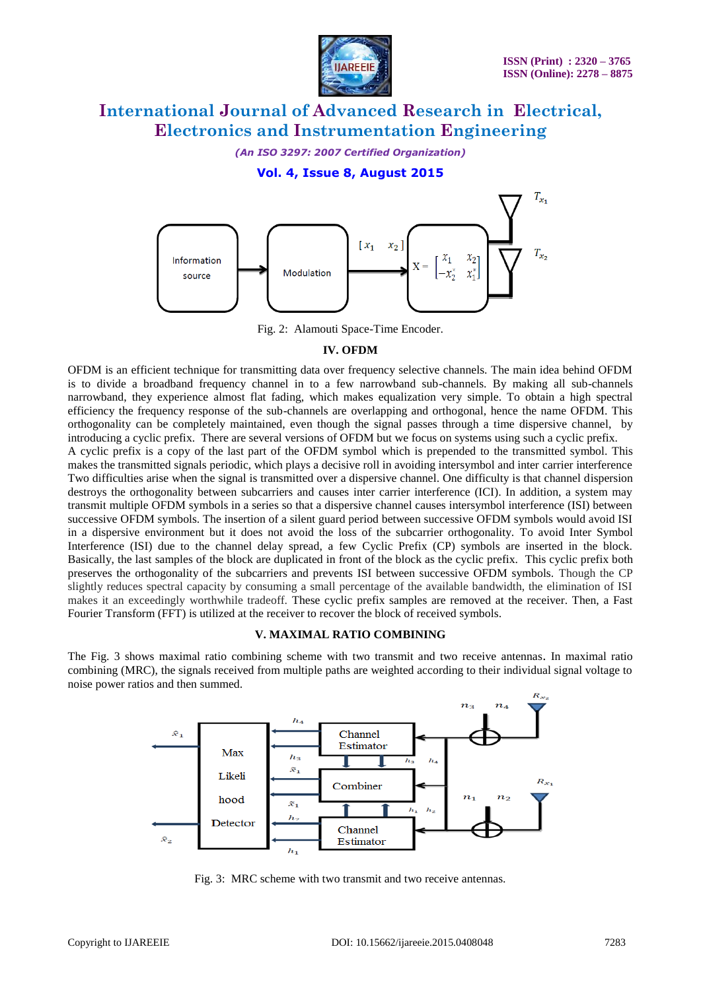

*(An ISO 3297: 2007 Certified Organization)*

**Vol. 4, Issue 8, August 2015**



Fig. 2: Alamouti Space-Time Encoder.

#### **IV. OFDM**

OFDM is an efficient technique for transmitting data over frequency selective channels. The main idea behind OFDM is to divide a broadband frequency channel in to a few narrowband sub-channels. By making all sub-channels narrowband, they experience almost flat fading, which makes equalization very simple. To obtain a high spectral efficiency the frequency response of the sub-channels are overlapping and orthogonal, hence the name OFDM. This orthogonality can be completely maintained, even though the signal passes through a time dispersive channel, by introducing a cyclic prefix. There are several versions of OFDM but we focus on systems using such a cyclic prefix.

A cyclic prefix is a copy of the last part of the OFDM symbol which is prepended to the transmitted symbol. This makes the transmitted signals periodic, which plays a decisive roll in avoiding intersymbol and inter carrier interference Two difficulties arise when the signal is transmitted over a dispersive channel. One difficulty is that channel dispersion destroys the orthogonality between subcarriers and causes inter carrier interference (ICI). In addition, a system may transmit multiple OFDM symbols in a series so that a dispersive channel causes intersymbol interference (ISI) between successive OFDM symbols. The insertion of a silent guard period between successive OFDM symbols would avoid ISI in a dispersive environment but it does not avoid the loss of the subcarrier orthogonality. To avoid Inter Symbol Interference (ISI) due to the channel delay spread, a few Cyclic Prefix (CP) symbols are inserted in the block. Basically, the last samples of the block are duplicated in front of the block as the cyclic prefix. This cyclic prefix both preserves the orthogonality of the subcarriers and prevents ISI between successive OFDM symbols. Though the CP slightly reduces spectral capacity by consuming a small percentage of the available bandwidth, the elimination of ISI makes it an exceedingly worthwhile tradeoff. These cyclic prefix samples are removed at the receiver. Then, a Fast Fourier Transform (FFT) is utilized at the receiver to recover the block of received symbols.

#### **V. MAXIMAL RATIO COMBINING**

The Fig. 3 shows maximal ratio combining scheme with two transmit and two receive antennas. In maximal ratio combining (MRC), the signals received from multiple paths are weighted according to their individual signal voltage to noise power ratios and then summed.



Fig. 3: MRC scheme with two transmit and two receive antennas.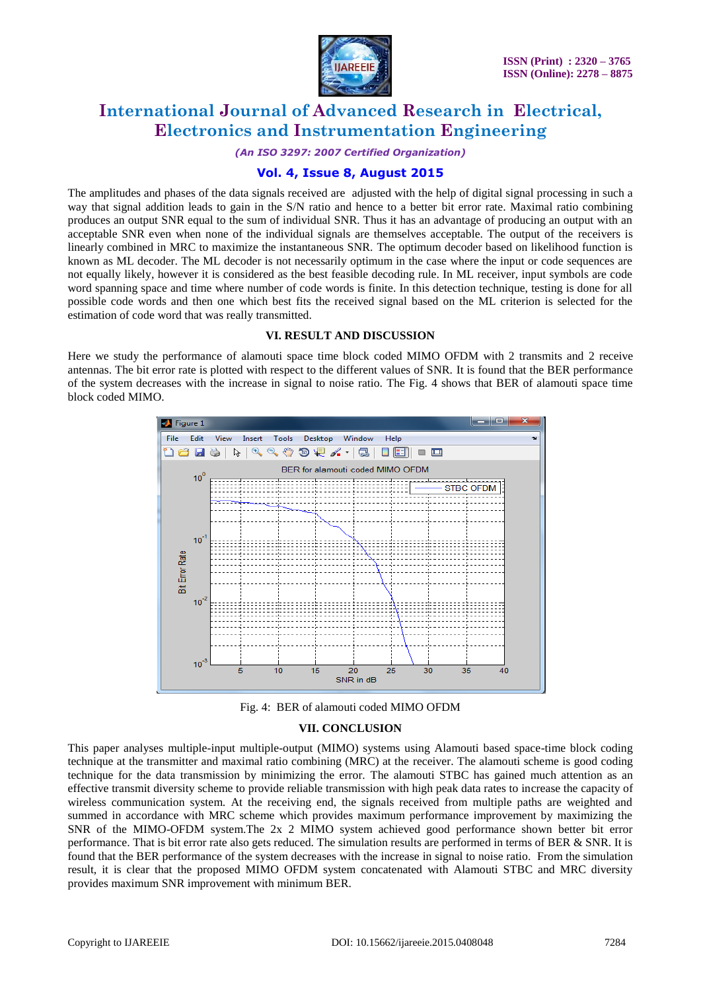

*(An ISO 3297: 2007 Certified Organization)*

## **Vol. 4, Issue 8, August 2015**

The amplitudes and phases of the data signals received are adjusted with the help of digital signal processing in such a way that signal addition leads to gain in the S/N ratio and hence to a better bit error rate. Maximal ratio combining produces an output SNR equal to the sum of individual SNR. Thus it has an advantage of producing an output with an acceptable SNR even when none of the individual signals are themselves acceptable. The output of the receivers is linearly combined in MRC to maximize the instantaneous SNR. The optimum decoder based on likelihood function is known as ML decoder. The ML decoder is not necessarily optimum in the case where the input or code sequences are not equally likely, however it is considered as the best feasible decoding rule. In ML receiver, input symbols are code word spanning space and time where number of code words is finite. In this detection technique, testing is done for all possible code words and then one which best fits the received signal based on the ML criterion is selected for the estimation of code word that was really transmitted.

#### **VI. RESULT AND DISCUSSION**

Here we study the performance of alamouti space time block coded MIMO OFDM with 2 transmits and 2 receive antennas. The bit error rate is plotted with respect to the different values of SNR. It is found that the BER performance of the system decreases with the increase in signal to noise ratio. The Fig. 4 shows that BER of alamouti space time block coded MIMO.



Fig. 4: BER of alamouti coded MIMO OFDM

#### **VII. CONCLUSION**

This paper analyses multiple-input multiple-output (MIMO) systems using Alamouti based space-time block coding technique at the transmitter and maximal ratio combining (MRC) at the receiver. The alamouti scheme is good coding technique for the data transmission by minimizing the error. The alamouti STBC has gained much attention as an effective transmit diversity scheme to provide reliable transmission with high peak data rates to increase the capacity of wireless communication system. At the receiving end, the signals received from multiple paths are weighted and summed in accordance with MRC scheme which provides maximum performance improvement by maximizing the SNR of the MIMO-OFDM system.The 2x 2 MIMO system achieved good performance shown better bit error performance. That is bit error rate also gets reduced. The simulation results are performed in terms of BER & SNR. It is found that the BER performance of the system decreases with the increase in signal to noise ratio. From the simulation result, it is clear that the proposed MIMO OFDM system concatenated with Alamouti STBC and MRC diversity provides maximum SNR improvement with minimum BER.